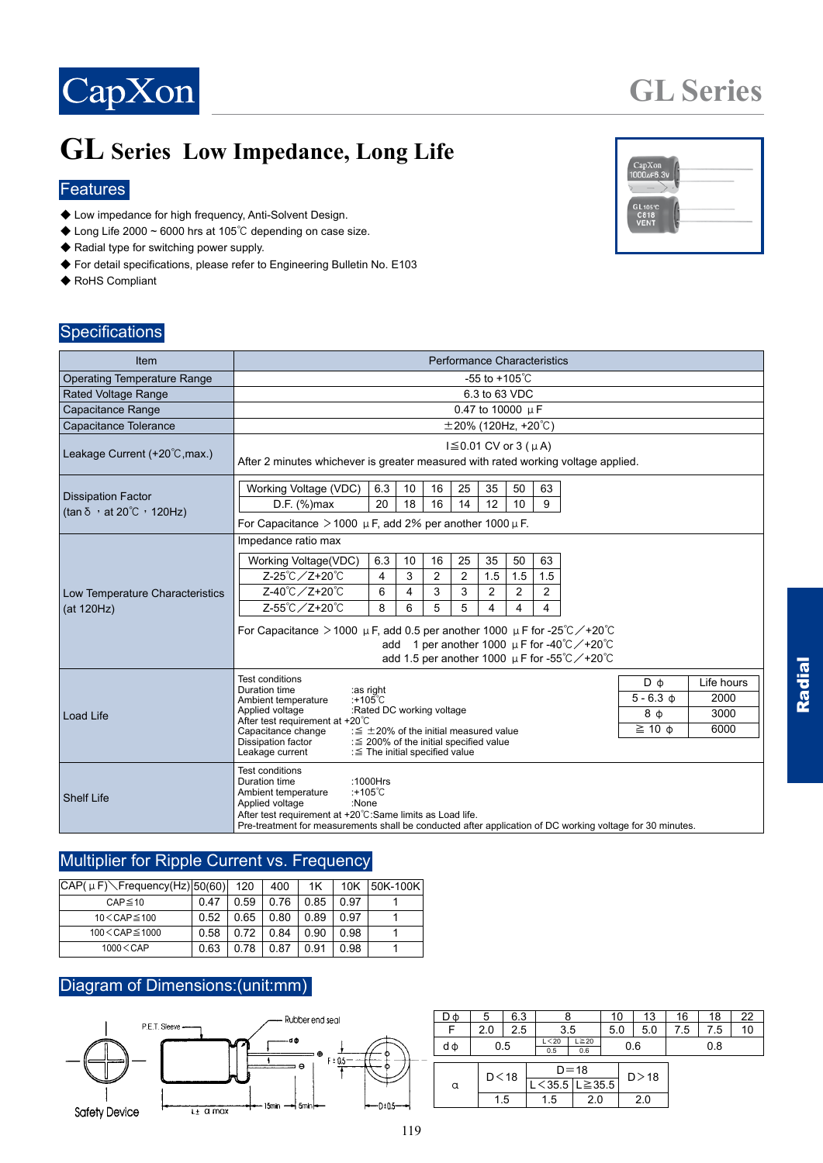

## **GL Series Low Impedance, Long Life**

#### **Features**

- ◆ Low impedance for high frequency, Anti-Solvent Design.
- ◆ Long Life 2000 ~ 6000 hrs at 105℃ depending on case size.
- ◆ Radial type for switching power supply.
- ◆ For detail specifications, please refer to Engineering Bulletin No. E103
- ◆ RoHS Compliant

# GL<sub>105</sub><br>C811

**GL Series**

#### **Specifications**

| <b>Item</b>                                                             | <b>Performance Characteristics</b>                                                                                                                                                                                                                                                                                                                                                                                                                                                                           |  |  |  |  |  |  |  |  |
|-------------------------------------------------------------------------|--------------------------------------------------------------------------------------------------------------------------------------------------------------------------------------------------------------------------------------------------------------------------------------------------------------------------------------------------------------------------------------------------------------------------------------------------------------------------------------------------------------|--|--|--|--|--|--|--|--|
| <b>Operating Temperature Range</b>                                      | -55 to +105 $^{\circ}$ C                                                                                                                                                                                                                                                                                                                                                                                                                                                                                     |  |  |  |  |  |  |  |  |
| Rated Voltage Range                                                     | 6.3 to 63 VDC                                                                                                                                                                                                                                                                                                                                                                                                                                                                                                |  |  |  |  |  |  |  |  |
| Capacitance Range                                                       | 0.47 to 10000 µF                                                                                                                                                                                                                                                                                                                                                                                                                                                                                             |  |  |  |  |  |  |  |  |
| Capacitance Tolerance                                                   | $\pm$ 20% (120Hz, +20°C)                                                                                                                                                                                                                                                                                                                                                                                                                                                                                     |  |  |  |  |  |  |  |  |
| Leakage Current (+20°C, max.)                                           | $I$ ≤ 0.01 CV or 3 ( $\mu$ A)<br>After 2 minutes whichever is greater measured with rated working voltage applied.                                                                                                                                                                                                                                                                                                                                                                                           |  |  |  |  |  |  |  |  |
| <b>Dissipation Factor</b><br>(tan $\delta$ , at 20 $\degree$ C , 120Hz) | Working Voltage (VDC)<br>6.3<br>35<br>50<br>63<br>10<br>16<br>25<br>D.F. (%)max<br>9<br>20<br>18<br>16<br>14<br>12<br>10<br>For Capacitance $>$ 1000 $\mu$ F, add 2% per another 1000 $\mu$ F.                                                                                                                                                                                                                                                                                                               |  |  |  |  |  |  |  |  |
| Low Temperature Characteristics<br>(at 120Hz)                           | Impedance ratio max<br>25<br>35<br>63<br>Working Voltage(VDC)<br>6.3<br>10<br>16<br>50<br>Z-25℃ / Z+20℃<br>$\overline{c}$<br>$\overline{c}$<br>1.5<br>3<br>1.5<br>1.5<br>4<br>Z-40℃/Z+20℃<br>6<br>3<br>3<br>2<br>$\overline{2}$<br>2<br>4<br>Z-55℃ / Z+20℃<br>8<br>6<br>5<br>5<br>4<br>4<br>4<br>For Capacitance > 1000 $\mu$ F, add 0.5 per another 1000 $\mu$ F for -25°C $\diagup$ +20°C<br>add 1 per another 1000 $\mu$ F for -40°C /+20°C<br>add 1.5 per another 1000 $\mu$ F for -55°C $\diagup$ +20°C |  |  |  |  |  |  |  |  |
| <b>Load Life</b>                                                        | <b>Test conditions</b><br>$D \phi$<br>Life hours<br>Duration time<br>:as right<br>2000<br>$5 - 6.3$ $\phi$<br>:+105℃<br>Ambient temperature<br>:Rated DC working voltage<br>Applied voltage<br>8 ф<br>3000<br>After test requirement at +20°C<br>$\geq$ 10 $\phi$<br>6000<br>: $\leq$ ±20% of the initial measured value<br>Capacitance change<br>Dissipation factor<br>: $\leq$ 200% of the initial specified value<br>Leakage current<br>: ≦ The initial specified value                                   |  |  |  |  |  |  |  |  |
| <b>Shelf Life</b>                                                       | <b>Test conditions</b><br>Duration time<br>:1000 $Hrs$<br>: $+105^{\circ}$ C<br>Ambient temperature<br>:None<br>Applied voltage<br>After test requirement at +20°C:Same limits as Load life.<br>Pre-treatment for measurements shall be conducted after application of DC working voltage for 30 minutes.                                                                                                                                                                                                    |  |  |  |  |  |  |  |  |

#### Multiplier for Ripple Current vs. Frequency

| $ CAP(\mu F)\diagdown$ Frequency(Hz) $ 50(60) $ |      | 120  | 400  | 1Κ   | 10K  | 50K-100K |
|-------------------------------------------------|------|------|------|------|------|----------|
| $CAP \le 10$                                    | 0.47 | 0.59 | 0.76 | 0.85 | 0.97 |          |
| $10 <$ CAP $\leq 100$                           | 0.52 | 0.65 | 0.80 | 0.89 | 0.97 |          |
| $100 \leq$ CAP $\leq$ 1000                      | 0.58 | 0.72 | 0.84 | 0.90 | 0.98 |          |
| $1000 \leq$ CAP                                 | 0.63 | 0 78 | 0.87 | O 91 | 0.98 |          |

#### Diagram of Dimensions:(unit:mm)



| DΦ | 5      | 6.3 |                                     |     |     | 10     | 13  | 16  | 18  | 22 |
|----|--------|-----|-------------------------------------|-----|-----|--------|-----|-----|-----|----|
|    | 2.0    | 2.5 |                                     | 3.5 |     | 5.0    | 5.0 | 7.5 | 7.5 | 10 |
| dф | 0.5    |     | $L \geq 20$<br>L < 20<br>0.6<br>0.5 |     | 0.6 |        | 0.8 |     |     |    |
|    | D < 18 |     | $D = 18$                            |     |     | D > 18 |     |     |     |    |
| α  |        |     | $L < 35.5$ $L \ge 35.5$             |     |     |        |     |     |     |    |
|    | 1.5    |     | 1.5                                 | 2.0 |     |        | 2.0 |     |     |    |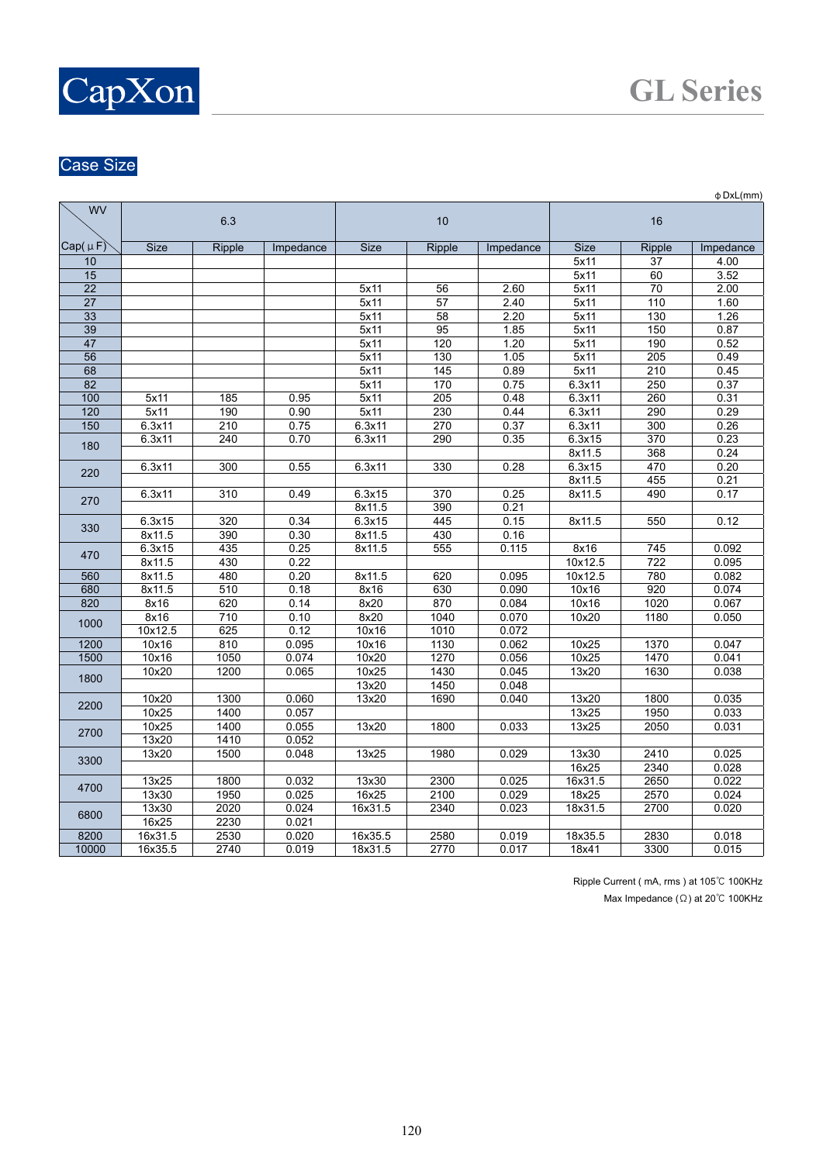

### Case Size

|                 |                      |                    |           |             |                  |           |                      |                  | $\Phi$ DxL(mm) |  |
|-----------------|----------------------|--------------------|-----------|-------------|------------------|-----------|----------------------|------------------|----------------|--|
| <b>WV</b>       | 6.3                  |                    |           |             | 10               |           | 16                   |                  |                |  |
| Cap(µF)         | <b>Size</b>          | Ripple             | Impedance | <b>Size</b> | <b>Ripple</b>    | Impedance | <b>Size</b>          | Ripple           | Impedance      |  |
| 10              |                      |                    |           |             |                  |           | 5x11                 | 37               | 4.00           |  |
| 15              |                      |                    |           |             |                  |           | 5x11                 | 60               | 3.52           |  |
| $\overline{22}$ |                      |                    |           | 5x11        | 56               | 2.60      | 5x11                 | 70               | 2.00           |  |
| 27              |                      |                    |           | 5x11        | 57               | 2.40      | 5x11                 | 110              | 1.60           |  |
| 33              |                      |                    |           | 5x11        | 58               | 2.20      | 5x11                 | 130              | 1.26           |  |
| 39              |                      |                    |           | 5x11        | 95               | 1.85      | 5x11                 | 150              | 0.87           |  |
| 47              |                      |                    |           | 5x11        | 120              | 1.20      | 5x11                 | 190              | 0.52           |  |
| 56              |                      |                    |           | 5x11        | 130              | 1.05      | 5x11                 | 205              | 0.49           |  |
| 68              |                      |                    |           | 5x11        | 145              | 0.89      | 5x11                 | 210              | 0.45           |  |
| 82              |                      |                    |           | 5x11        | 170              | 0.75      | 6.3x11               | 250              | 0.37           |  |
| 100             | 5x11                 | 185                | 0.95      | 5x11        | 205              | 0.48      | 6.3x11               | 260              | 0.31           |  |
| 120             | 5x11                 | 190                | 0.90      | 5x11        | 230              | 0.44      | 6.3x11               | 290              | 0.29           |  |
| 150             | 6.3x11               | 210                | 0.75      | 6.3x11      | 270              | 0.37      | 6.3x11               | $\overline{300}$ | 0.26           |  |
| 180             | 6.3x11               | 240                | 0.70      | 6.3x11      | 290              | 0.35      | 6.3x15               | 370              | 0.23           |  |
|                 |                      |                    |           |             |                  |           | 8x11.5               | 368              | 0.24           |  |
| 220             | 6.3x11               | 300                | 0.55      | 6.3x11      | 330              | 0.28      | 6.3x15               | 470              | 0.20           |  |
| 270             |                      |                    |           |             |                  |           | 8x11.5               | 455              | 0.21           |  |
|                 | 6.3x11               | 310                | 0.49      | 6.3x15      | 370              | 0.25      | 8x11.5               | 490              | 0.17           |  |
|                 |                      |                    |           | 8x11.5      | 390              | 0.21      |                      |                  |                |  |
| 330             | 6.3x15               | 320                | 0.34      | 6.3x15      | 445              | 0.15      | 8x11.5               | 550              | 0.12           |  |
|                 | 8x11.5               | 390                | 0.30      | 8x11.5      | 430              | 0.16      |                      |                  |                |  |
| 470             | 6.3x15               | 435                | 0.25      | 8x11.5      | 555              | 0.115     | 8x16                 | 745              | 0.092          |  |
|                 | 8x11.5               | 430                | 0.22      |             |                  |           | $\overline{10x12.5}$ | $\overline{722}$ | 0.095          |  |
| 560             | 8x11.5               | 480                | 0.20      | 8x11.5      | 620              | 0.095     | 10x12.5              | 780              | 0.082          |  |
| 680             | 8x11.5               | 510                | 0.18      | 8x16        | 630              | 0.090     | 10x16                | 920              | 0.074          |  |
| 820             | 8x16                 | 620                | 0.14      | 8x20        | 870              | 0.084     | 10x16                | 1020             | 0.067          |  |
| 1000            | 8x16                 | 710                | 0.10      | 8x20        | 1040             | 0.070     | 10x20                | 1180             | 0.050          |  |
|                 | $\overline{10x12.5}$ | 625                | 0.12      | 10x16       | $\frac{1010}{ }$ | 0.072     |                      |                  |                |  |
| 1200            | 10x16                | 810                | 0.095     | 10x16       | 1130             | 0.062     | 10x25                | 1370             | 0.047          |  |
| 1500            | 10x16                | $\frac{1050}{100}$ | 0.074     | 10x20       | 1270             | 0.056     | 10x25                | 1470             | 0.041          |  |
| 1800            | 10x20                | 1200               | 0.065     | 10x25       | 1430             | 0.045     | 13x20                | 1630             | 0.038          |  |
|                 |                      |                    |           | 13x20       | 1450             | 0.048     |                      |                  |                |  |
| 2200            | 10x20                | 1300               | 0.060     | 13x20       | 1690             | 0.040     | 13x20                | 1800             | 0.035          |  |
|                 | 10x25                | 1400               | 0.057     |             |                  |           | 13x25                | 1950             | 0.033          |  |
| 2700            | 10x25                | 1400               | 0.055     | 13x20       | 1800             | 0.033     | 13x25                | 2050             | 0.031          |  |
|                 | 13x20                | 1410               | 0.052     |             |                  |           |                      |                  |                |  |
| 3300            | 13x20                | 1500               | 0.048     | 13x25       | 1980             | 0.029     | 13x30                | 2410             | 0.025          |  |
|                 |                      |                    |           |             |                  |           | 16x25                | 2340             | 0.028          |  |
| 4700            | 13x25                | 1800               | 0.032     | 13x30       | 2300             | 0.025     | 16x31.5              | 2650             | 0.022          |  |
|                 | 13x30                | 1950               | 0.025     | 16x25       | 2100             | 0.029     | 18x25                | 2570             | 0.024          |  |
| 6800            | 13x30                | 2020               | 0.024     | 16x31.5     | 2340             | 0.023     | 18x31.5              | 2700             | 0.020          |  |
|                 | 16x25                | 2230               | 0.021     |             |                  |           |                      |                  |                |  |
| 8200            | 16x31.5              | 2530               | 0.020     | 16x35.5     | 2580             | 0.019     | 18x35.5              | 2830             | 0.018          |  |
| 10000           | 16x35.5              | 2740               | 0.019     | 18x31.5     | 2770             | 0.017     | 18x41                | 3300             | 0.015          |  |

Ripple Current ( mA, rms ) at 105℃ 100KHz Max Impedance (Ω) at 20℃ 100KHz